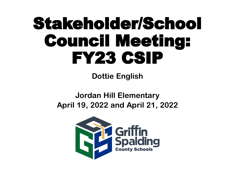# Stakeholder/School Council Meeting: FY23 CSIP

**Dottie English** 

**Jordan Hill Elementary April 19, 2022 and April 21, 2022**

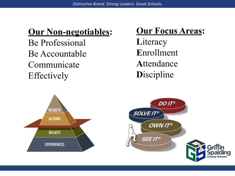### **Our Non-negotiables:**

Be Professional Be Accountable Communicate Effectively

### **Our Focus Areas:**

**L**iteracy **E**nrollment **A**ttendance **D**iscipline

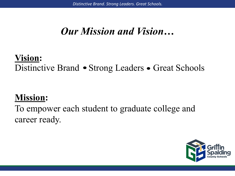### *Our Mission and Vision…*

### **Vision:**  Distinctive Brand • Strong Leaders • Great Schools

### **Mission:**

To empower each student to graduate college and career ready.

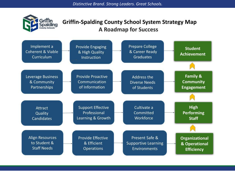

#### **Griffin-Spalding County School System Strategy Map A Roadmap for Success**

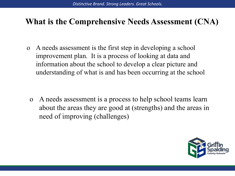### **What is the Comprehensive Needs Assessment (CNA)**

o A needs assessment is the first step in developing a school improvement plan. It is a process of looking at data and information about the school to develop a clear picture and understanding of what is and has been occurring at the school

o A needs assessment is a process to help school teams learn about the areas they are good at (strengths) and the areas in need of improving (challenges)

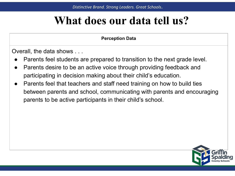### **What does our data tell us?**

#### **Perception Data**

Overall, the data shows . . .

- Parents feel students are prepared to transition to the next grade level.
- Parents desire to be an active voice through providing feedback and participating in decision making about their child's education.
- Parents feel that teachers and staff need training on how to build ties between parents and school, communicating with parents and encouraging parents to be active participants in their child's school.

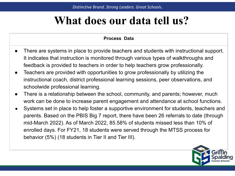### **What does our data tell us?**

#### **Process Data**

- There are systems in place to provide teachers and students with instructional support. It indicates that instruction is monitored through various types of walkthroughs and feedback is provided to teachers in order to help teachers grow professionally.
- Teachers are provided with opportunities to grow professionally by utilizing the instructional coach, district professional learning sessions, peer observations, and schoolwide professional learning.
- There is a relationship between the school, community, and parents; however, much work can be done to increase parent engagement and attendance at school functions.
- Systems set in place to help foster a supportive environment for students, teachers and parents. Based on the PBIS Big 7 report, there have been 26 referrals to date (through mid-March 2022). As of March 2022, 85.58% of students missed less than 10% of enrolled days. For FY21, 18 students were served through the MTSS process for behavior (5%) (18 students in Tier II and Tier III).

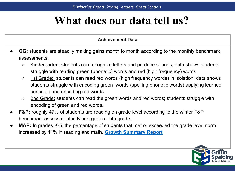### **What does our data tell us?**

#### **Achievement Data**

- **OG:** students are steadily making gains month to month according to the monthly benchmark assessments.
	- Kindergarten: students can recognize letters and produce sounds; data shows students struggle with reading green (phonetic) words and red (high frequency) words.
	- 1st Grade: students can read red words (high frequency words) in isolation; data shows students struggle with encoding green words (spelling phonetic words) applying learned concepts and encoding red words.
	- 2nd Grade: students can read the green words and red words; students struggle with encoding of green and red words.
- **● F&P:** roughly 47% of students are reading on grade level according to the winter F&P benchmark assessment in Kindergarten - 5th grade**.**
- **● MAP:** In grades K-5, the percentage of students that met or exceeded the grade level norm increased by 11% in reading and math. **[Growth Summary Report](https://docs.google.com/document/d/13SZsoVkYDHTmknOzhYua3LYHWU0R7dqz4gnibQ_AyPY/edit)**

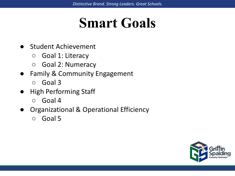## **Smart Goals**

- Student Achievement
	- Goal 1: Literacy
	- Goal 2: Numeracy
- Family & Community Engagement
	- Goal 3
- **High Performing Staff** 
	- Goal 4
- **Organizational & Operational Efficiency** 
	- Goal 5

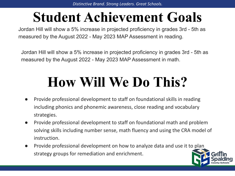## **Student Achievement Goals**

Jordan Hill will show a 5% increase in projected proficiency in grades 3rd - 5th as measured by the August 2022 - May 2023 MAP Assessment in reading.

Jordan Hill will show a 5% increase in projected proficiency in grades 3rd - 5th as measured by the August 2022 - May 2023 MAP Assessment in math.

- Provide professional development to staff on foundational skills in reading including phonics and phonemic awareness, close reading and vocabulary strategies.
- Provide professional development to staff on foundational math and problem solving skills including number sense, math fluency and using the CRA model of instruction.
- Provide professional development on how to analyze data and use it to plan strategy groups for remediation and enrichment.

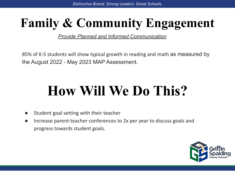## **Family & Community Engagement**

*Provide Planned and Informed Communication*

85% of K-5 students will show typical growth in reading and math as measured by the August 2022 - May 2023 MAP Assessment.

- Student goal setting with their teacher
- Increase parent-teacher conferences to 2x per year to discuss goals and progress towards student goals.

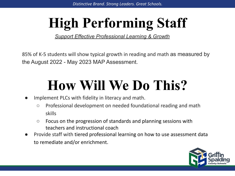# **High Performing Staff**

*Support Effective Professional Learning & Growth*

85% of K-5 students will show typical growth in reading and math as measured by the August 2022 - May 2023 MAP Assessment.

- Implement PLCs with fidelity in literacy and math.
	- Professional development on needed foundational reading and math skills
	- Focus on the progression of standards and planning sessions with teachers and instructional coach
- Provide staff with tiered professional learning on how to use assessment data to remediate and/or enrichment.

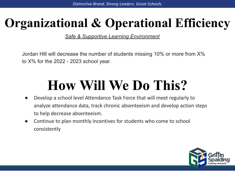## **Organizational & Operational Efficiency**

*Safe & Supportive Learning Environment*

Jordan Hill will decrease the number of students missing 10% or more from X% to X% for the 2022 - 2023 school year.

- Develop a school level Attendance Task Force that will meet regularly to analyze attendance data, track chronic absenteeism and develop action steps to help decrease absenteeism.
- Continue to plan monthly incentives for students who come to school consistently